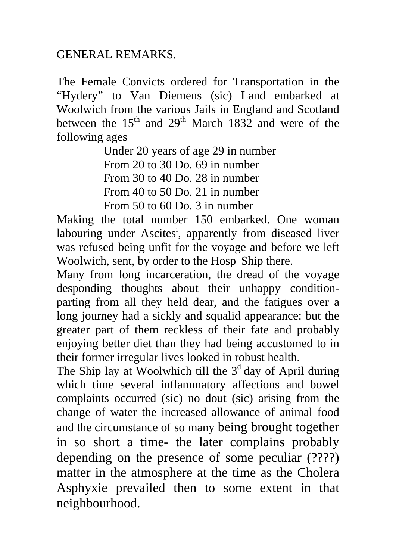## GENERAL REMARKS.

The Female Convicts ordered for Transportation in the "Hydery" to Van Diemens (sic) Land embarked at Woolwich from the various Jails in England and Scotland between the  $15<sup>th</sup>$  and  $29<sup>th</sup>$  March  $1832$  and were of the following ages

> Under 20 years of age 29 in number From 20 to 30 Do. 69 in number From 30 to 40 Do. 28 in number From 40 to 50 Do. 21 in number From 50 to 60 Do. 3 in number

Making the total number 150 embarked. One woman labouring under Ascites<sup>i</sup>, apparently from diseased liver was refused being unfit for the voyage and before we left Woolwich, sent, by order to the  $Hosp<sup>T</sup>$  Ship there.

Many from long incarceration, the dread of the voyage desponding thoughts about their unhappy conditionparting from all they held dear, and the fatigues over a long journey had a sickly and squalid appearance: but the greater part of them reckless of their fate and probably enjoying better diet than they had being accustomed to in their former irregular lives looked in robust health.

The Ship lay at Woolwhich till the  $3<sup>d</sup>$  day of April during which time several inflammatory affections and bowel complaints occurred (sic) no dout (sic) arising from the change of water the increased allowance of animal food and the circumstance of so many being brought together in so short a time- the later complains probably depending on the presence of some peculiar (????) matter in the atmosphere at the time as the Cholera Asphyxie prevailed then to some extent in that neighbourhood.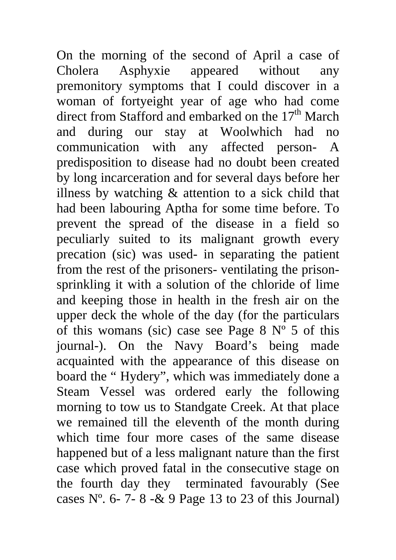On the morning of the second of April a case of Cholera Asphyxie appeared without any premonitory symptoms that I could discover in a woman of fortyeight year of age who had come direct from Stafford and embarked on the  $17<sup>th</sup>$  March and during our stay at Woolwhich had no communication with any affected person- A predisposition to disease had no doubt been created by long incarceration and for several days before her illness by watching & attention to a sick child that had been labouring Aptha for some time before. To prevent the spread of the disease in a field so peculiarly suited to its malignant growth every precation (sic) was used- in separating the patient from the rest of the prisoners- ventilating the prisonsprinkling it with a solution of the chloride of lime and keeping those in health in the fresh air on the upper deck the whole of the day (for the particulars of this womans (sic) case see Page  $8 \text{ N}^{\circ} 5$  of this journal-). On the Navy Board's being made acquainted with the appearance of this disease on board the " Hydery", which was immediately done a Steam Vessel was ordered early the following morning to tow us to Standgate Creek. At that place we remained till the eleventh of the month during which time four more cases of the same disease happened but of a less malignant nature than the first case which proved fatal in the consecutive stage on the fourth day they terminated favourably (See cases  $N^{\circ}$ . 6- 7- 8 - & 9 Page 13 to 23 of this Journal)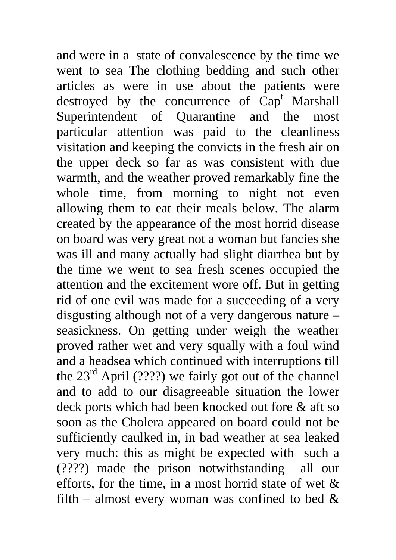and were in a state of convalescence by the time we went to sea The clothing bedding and such other articles as were in use about the patients were destroyed by the concurrence of  $\text{Cap}^t$  Marshall Superintendent of Quarantine and the most particular attention was paid to the cleanliness visitation and keeping the convicts in the fresh air on the upper deck so far as was consistent with due warmth, and the weather proved remarkably fine the whole time, from morning to night not even allowing them to eat their meals below. The alarm created by the appearance of the most horrid disease on board was very great not a woman but fancies she was ill and many actually had slight diarrhea but by the time we went to sea fresh scenes occupied the attention and the excitement wore off. But in getting rid of one evil was made for a succeeding of a very disgusting although not of a very dangerous nature – seasickness. On getting under weigh the weather proved rather wet and very squally with a foul wind and a headsea which continued with interruptions till the  $23<sup>rd</sup>$  April (????) we fairly got out of the channel and to add to our disagreeable situation the lower deck ports which had been knocked out fore & aft so soon as the Cholera appeared on board could not be sufficiently caulked in, in bad weather at sea leaked very much: this as might be expected with such a (????) made the prison notwithstanding all our efforts, for the time, in a most horrid state of wet  $\&$ filth – almost every woman was confined to bed  $\&$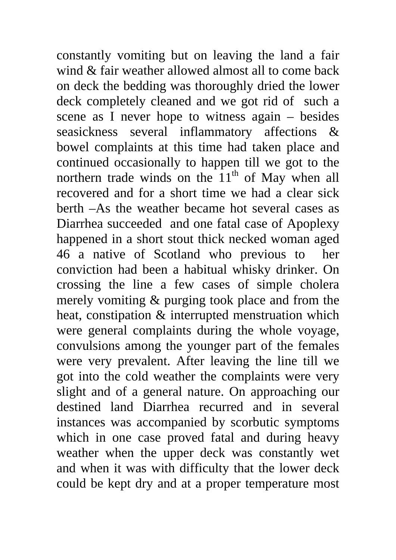constantly vomiting but on leaving the land a fair wind & fair weather allowed almost all to come back on deck the bedding was thoroughly dried the lower deck completely cleaned and we got rid of such a scene as I never hope to witness again – besides seasickness several inflammatory affections & bowel complaints at this time had taken place and continued occasionally to happen till we got to the northern trade winds on the  $11<sup>th</sup>$  of May when all recovered and for a short time we had a clear sick berth –As the weather became hot several cases as Diarrhea succeeded and one fatal case of Apoplexy happened in a short stout thick necked woman aged 46 a native of Scotland who previous to her conviction had been a habitual whisky drinker. On crossing the line a few cases of simple cholera merely vomiting & purging took place and from the heat, constipation & interrupted menstruation which were general complaints during the whole voyage, convulsions among the younger part of the females were very prevalent. After leaving the line till we got into the cold weather the complaints were very slight and of a general nature. On approaching our destined land Diarrhea recurred and in several instances was accompanied by scorbutic symptoms which in one case proved fatal and during heavy weather when the upper deck was constantly wet and when it was with difficulty that the lower deck could be kept dry and at a proper temperature most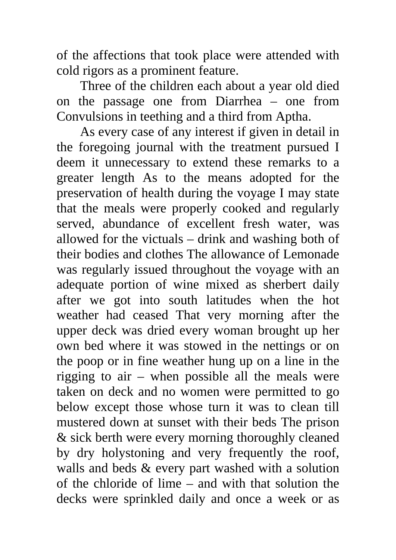of the affections that took place were attended with cold rigors as a prominent feature.

 Three of the children each about a year old died on the passage one from Diarrhea – one from Convulsions in teething and a third from Aptha.

 As every case of any interest if given in detail in the foregoing journal with the treatment pursued I deem it unnecessary to extend these remarks to a greater length As to the means adopted for the preservation of health during the voyage I may state that the meals were properly cooked and regularly served, abundance of excellent fresh water, was allowed for the victuals – drink and washing both of their bodies and clothes The allowance of Lemonade was regularly issued throughout the voyage with an adequate portion of wine mixed as sherbert daily after we got into south latitudes when the hot weather had ceased That very morning after the upper deck was dried every woman brought up her own bed where it was stowed in the nettings or on the poop or in fine weather hung up on a line in the rigging to air – when possible all the meals were taken on deck and no women were permitted to go below except those whose turn it was to clean till mustered down at sunset with their beds The prison & sick berth were every morning thoroughly cleaned by dry holystoning and very frequently the roof, walls and beds & every part washed with a solution of the chloride of lime – and with that solution the decks were sprinkled daily and once a week or as